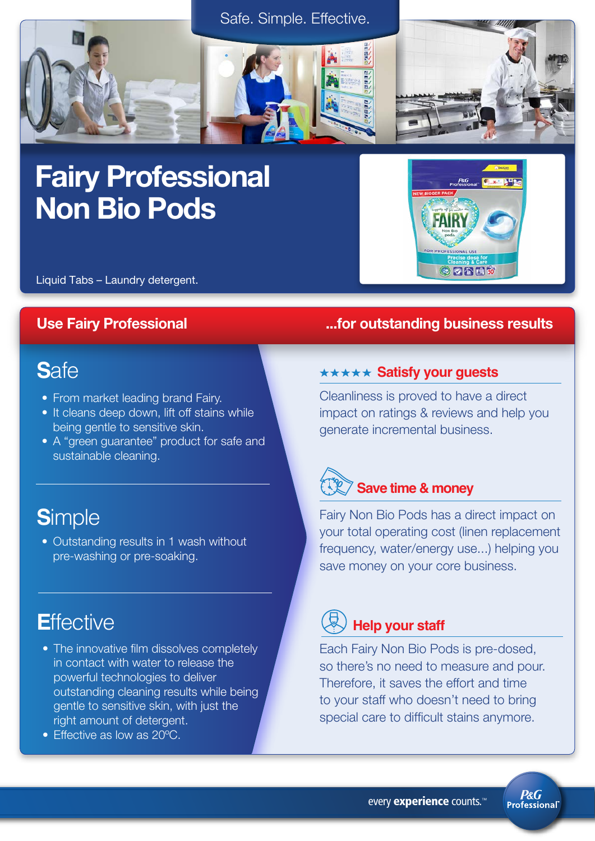

# Fairy Professional Non Bio Pods



Liquid Tabs – Laundry detergent.

## **S**afe

- From market leading brand Fairy.
- It cleans deep down, lift off stains while being gentle to sensitive skin.
- A "green guarantee" product for safe and sustainable cleaning.

## **S**imple

• Outstanding results in 1 wash without pre-washing or pre-soaking.

## **E**ffective

- The innovative film dissolves completely in contact with water to release the powerful technologies to deliver outstanding cleaning results while being gentle to sensitive skin, with just the right amount of detergent.
- Effective as low as 20°C.

### Use Fairy Professional **Exercise 20 Internal 20 Internal 20 Internal 20 Internal 20 Internal 20 Internal 20 Internal 20 Internal 20 Internal 20 Internal 20 Internal 20 Internal 20 Internal 20 Internal 20 Internal 20 Intern**

### **\*\*\*\*\* Satisfy your guests**

Cleanliness is proved to have a direct impact on ratings & reviews and help you generate incremental business.



Fairy Non Bio Pods has a direct impact on your total operating cost (linen replacement frequency, water/energy use...) helping you save money on your core business.

## **Help your staff**

Each Fairy Non Bio Pods is pre-dosed, so there's no need to measure and pour. Therefore, it saves the effort and time to your staff who doesn't need to bring special care to difficult stains anymore.